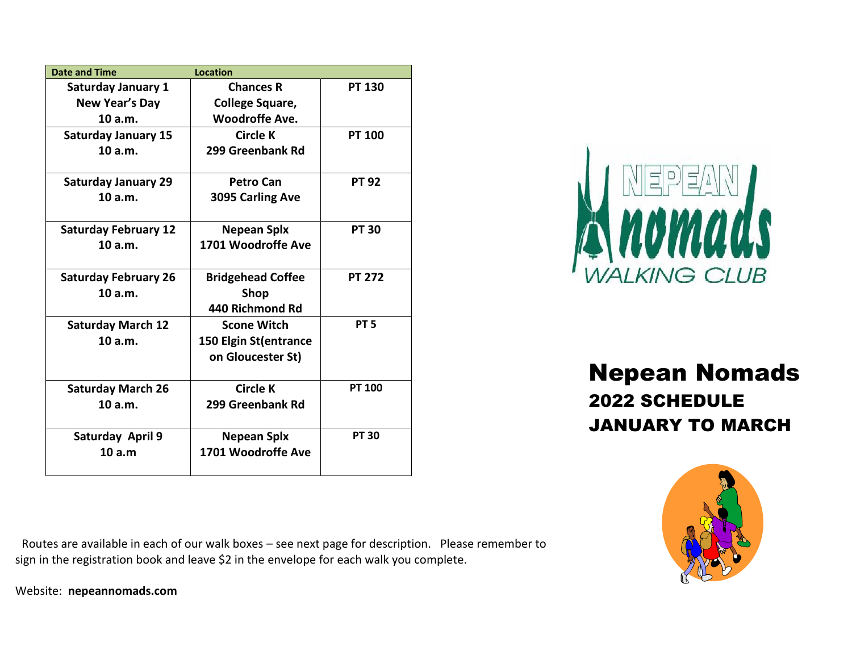| <b>Date and Time</b>        | <b>Location</b>          |                 |
|-----------------------------|--------------------------|-----------------|
| <b>Saturday January 1</b>   | <b>Chances R</b>         | <b>PT 130</b>   |
| <b>New Year's Day</b>       | <b>College Square,</b>   |                 |
| 10a.m.                      | <b>Woodroffe Ave.</b>    |                 |
| <b>Saturday January 15</b>  | Circle K                 | <b>PT 100</b>   |
| 10a.m.                      | 299 Greenbank Rd         |                 |
|                             |                          |                 |
| <b>Saturday January 29</b>  | <b>Petro Can</b>         | <b>PT 92</b>    |
| 10a.m.                      | 3095 Carling Ave         |                 |
|                             |                          |                 |
| <b>Saturday February 12</b> | Nepean Splx              | <b>PT 30</b>    |
| 10 a.m.                     | 1701 Woodroffe Ave       |                 |
|                             |                          |                 |
| <b>Saturday February 26</b> | <b>Bridgehead Coffee</b> | <b>PT 272</b>   |
| 10 a.m.                     | <b>Shop</b>              |                 |
|                             | 440 Richmond Rd          |                 |
| <b>Saturday March 12</b>    | <b>Scone Witch</b>       | PT <sub>5</sub> |
| 10a.m.                      | 150 Elgin St(entrance    |                 |
|                             | on Gloucester St)        |                 |
|                             |                          |                 |
| <b>Saturday March 26</b>    | <b>Circle K</b>          | <b>PT 100</b>   |
| 10 a.m.                     | 299 Greenbank Rd         |                 |
|                             |                          |                 |
| Saturday April 9            | <b>Nepean Splx</b>       | <b>PT 30</b>    |
| 10a.m                       | 1701 Woodroffe Ave       |                 |
|                             |                          |                 |



## Nepean Nomads 2022 SCHEDULE JANUARY TO MARCH



 Routes are available in each of our walk boxes – see next page for description. Please remember to sign in the registration book and leave \$2 in the envelope for each walk you complete.

Website: **nepeannomads.com**